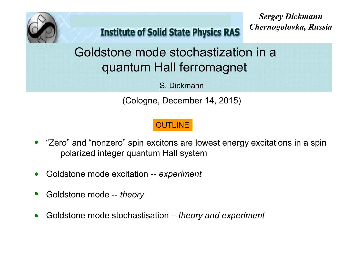

**Institute of Solid State Physics RAS** 

*Sergey Dickmann Chernogolovka, Russia*

# Goldstone mode stochastization in a quantum Hall ferromagnet

S. Dickmann

(Cologne, December 14, 2015)

### **OUTLINE**

- "Zero" and "nonzero" spin excitons are lowest energy excitations in a spin polarized integer quantum Hall system
- Goldstone mode excitation -- *experiment*  $\bullet$
- Goldstone mode -- *theory*
- Goldstone mode stochastisation *theory and experiment*  $\bullet$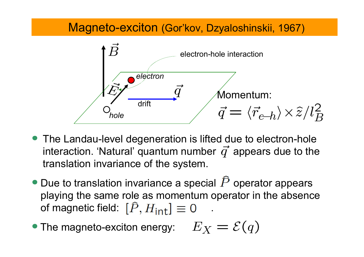## Magneto-exciton (Gor'kov, Dzyaloshinskii, 1967)



- The Landau-level degeneration is lifted due to electron-hole interaction. 'Natural' quantum number  $\vec{q}$  appears due to the translation invariance of the system.
- $\bullet$  Due to translation invariance a special  $\widehat{P}$  operator appears playing the same role as momentum operator in the absence of magnetic field:  $[\hat{P}, H_{int}] \equiv 0$
- The magneto-exciton energy:  $E_X = \mathcal{E}(q)$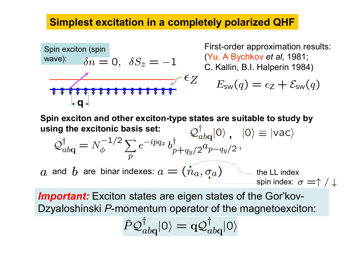### Simplest excitation in a completely polarized QHF



First-order approximation results: (Yu. A Bychkov *et al*, 1981; C. Kallin, B.I. Halperin 1984)

$$
E_{\rm sw}(q) = \epsilon_Z + \mathcal{E}_{\rm sw}(q)
$$

Spin exciton and other exciton-type states are suitable to study by using the excitonic basis set:  $\mathcal{Q}_{ab\alpha}^{\dagger}|0\rangle$ ,  $|0\rangle \equiv |vac\rangle$  $1/2$  $\mathbf{L}$ 

$$
Q_{abq}^{\dagger} = N_{\phi}^{-1/2} \sum_{p} e^{-ipqx} b_{p+q_y/2}^{\dagger} a_{p-q_y/2}^{\dagger},
$$
  
*a* and *b* are binary indexes:  $a = (n_a, \sigma_a)$  the LL index  
spin index:  $\sigma = \uparrow / \downarrow$ 

*Important:* Exciton states are eigen states of the Gor'kov-Dzyaloshinski *P*-momentum operator of the magnetoexciton:

$$
\widehat{P}\mathcal{Q}_{ab\mathbf{q}}^{\dagger}|\mathsf{0}\rangle=\mathbf{q}\mathcal{Q}_{ab\mathbf{q}}^{\dagger}|\mathsf{0}\rangle
$$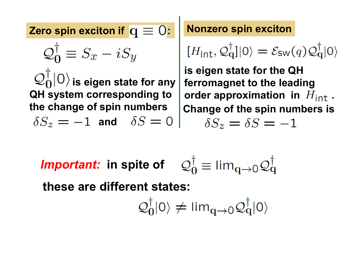Zero spin exciton if  $q \equiv 0$ : Nonzero spin exciton  $\mathcal{Q}_0^{\dagger} \equiv S_x - i S_y$  $\langle \mathcal{Q}_0^\dagger | 0 \rangle$  is eigen state for any QH system corresponding to the change of spin numbers  $\delta S_z = -1$  and  $\delta S = 0$ 

$$
[H_{\text{int}}, \mathcal{Q}_q^{\dagger}]|0\rangle = \mathcal{E}_{\text{SW}}(q)\mathcal{Q}_q^{\dagger}|0\rangle
$$

is eigen state for the QH ferromagnet to the leading order approximation in  $H_{int}$ . Change of the spin numbers is  $\delta S_z = \delta S = -1$ 

*Important:* in spite of  $\mathcal{Q}_{\Omega}^{\dagger} \equiv \lim_{\alpha \to 0} \mathcal{Q}_{\alpha}^{\dagger}$ 

these are different states:

$$
\mathcal{Q}_0^\dagger |0\rangle \neq \text{lim}_{\textbf{q}\to 0} \mathcal{Q}_\textbf{q}^\dagger |0\rangle
$$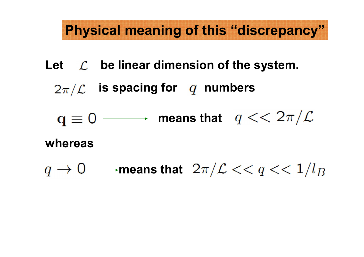# Physical meaning of this "discrepancy"

Let  $\mathcal{L}$  be linear dimension of the system.

 $2\pi/\mathcal{L}$  is spacing for q numbers

 $q \equiv 0$  - means that  $q << 2\pi/L$ 

whereas

 $q \to 0 \longrightarrow$  means that  $\ 2\pi/\mathcal{L} << q << 1/l_B$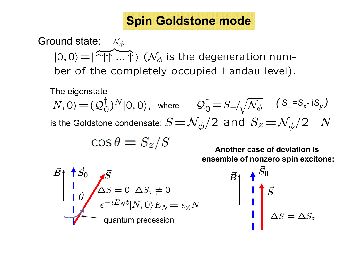# Spin Goldstone mode

 $|0,0\rangle = |\widetilde{\uparrow\uparrow\uparrow} \ldots \uparrow \rangle$  ( $\mathcal{N}_{\phi}$  is the degeneration num- $\mathcal{N}_{\phi}$ ber of the completely occupied Landau level). Ground state:

The eigenstate

 $|N,0\rangle = (\mathcal{Q}_0^{\dagger})^N|0,0\rangle$ , where  $\mathcal{Q}_0^{\dagger} = S_{-}/\sqrt{\mathcal{N}_{\phi}}$  (S\_=S<sub>x</sub>-iS<sub>y</sub>) is the Goldstone condensate:  $S \! =\! \mathcal{N}_\phi/2\,$  and  $\,S_z \! =\! \mathcal{N}_\phi/2\! -\! N$ 

$$
\cos \theta = S_z/S
$$

Another case of deviation is ensemble of nonzero spin excitons:

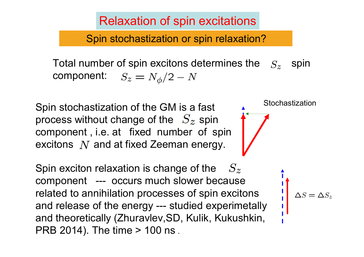Relaxation of spin excitations

Spin stochastization or spin relaxation?

Total number of spin excitons determines the  $S_z$  spin component:  $S_z$  $S_z = N_{\phi}/2 - N$ 

Spin stochastization of the GM is a fast process without change of the  $S_z$  spin component , i.e. at fixed number of spin excitons  $\,N\,$  and at fixed Zeeman energy.

Spin exciton relaxation is change of the component --- occurs much slower because related to annihilation processes of spin excitons and release of the energy --- studied experimetally and theoretically (Zhuravlev,SD, Kulik, Kukushkin, PRB 2014). The time > 100 ns .  $S_z$ 

Stochastization

 $\Delta S = \Delta S_z$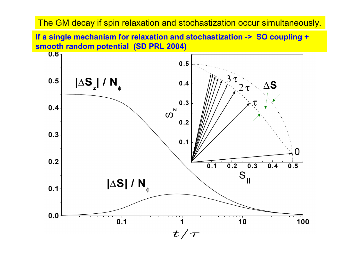#### The GM decay if spin relaxation and stochastization occur simultaneously.

If a single mechanism for relaxation and stochastization -> SO coupling + smooth random potential (SD PRL 2004)

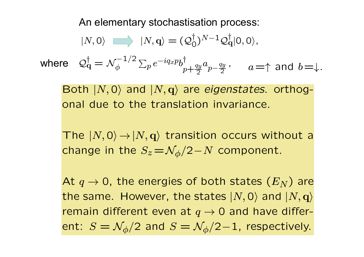An elementary stochastisation process:

$$
|N,0\rangle \implies |N,\mathbf{q}\rangle = (\mathcal{Q}_0^{\dagger})^{N-1}\mathcal{Q}_\mathbf{q}^{\dagger}|0,0\rangle,
$$
  
where 
$$
\mathcal{Q}_\mathbf{q}^{\dagger} = \mathcal{N}_{\phi}^{-1/2} \sum_{p} e^{-iq_x p} b_{p+\frac{q_y}{2}}^{\dagger} a_{p-\frac{q_y}{2}}, \quad a=\uparrow \text{ and } b=\downarrow.
$$

Both  $|N, 0\rangle$  and  $|N, q\rangle$  are *eigenstates*. orthogonal due to the translation invariance.

The  $|N, 0\rangle \rightarrow |N, q\rangle$  transition occurs without a change in the  $S_z = \mathcal{N}_\phi/2 - N$  component.

At  $q \to 0$ , the energies of both states  $(E_N)$  are the same. However, the states  $|N,0\rangle$  and  $|N,\mathbf{q}\rangle$ remain different even at  $q \rightarrow 0$  and have different:  $S = \mathcal{N}_\phi/2$  and  $S = \mathcal{N}_\phi/2 - 1$ , respectively.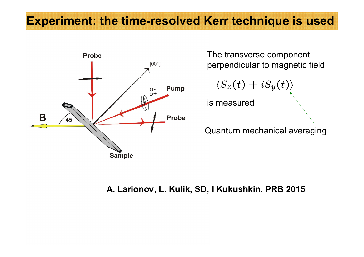# Experiment: the time-resolved Kerr technique is used



The transverse component perpendicular to magnetic field

$$
\langle S_x(t)+iS_y(t)\rangle
$$

is measured

Quantum mechanical averaging

#### A. Larionov, L. Kulik, SD, I Kukushkin. PRB 2015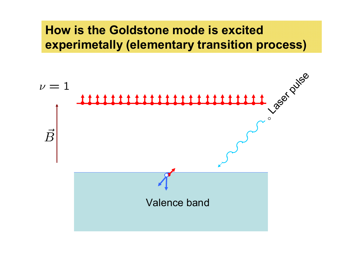# How is the Goldstone mode is excited experimetally (elementary transition process)

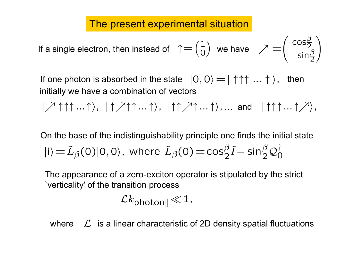### The present experimental situation

If a single electron, then instead of 
$$
\uparrow = \begin{pmatrix} 1 \\ 0 \end{pmatrix}
$$
 we have  $\nearrow = \begin{pmatrix} \cos\frac{\beta}{2} \\ -\sin\frac{\beta}{2} \end{pmatrix}$ 

If one photon is absorbed in the state  $|0,0\rangle = | \uparrow \uparrow \uparrow ... \uparrow \rangle$ , then initially we have a combination of vectors

 $|\nearrow$   $\uparrow\uparrow\uparrow... \uparrow\rangle$ ,  $|\uparrow\uparrow\nearrow\uparrow... \uparrow\rangle$ ,  $|\uparrow\uparrow\nearrow\uparrow... \uparrow\rangle$ ,  $\therefore$  and  $|\uparrow\uparrow\uparrow... \uparrow\nearrow\rangle$ ,

 $|i\rangle\!=\!\widehat{L}_{\beta}(0)|0,0\rangle$ , where  $\widehat{L}_{\beta}(0)\!=\!\cos\!\frac{\beta}{2}\widehat{I}-\sin\!\frac{\beta}{2}\mathcal{Q}_{0}^{\dagger}$ On the base of the indistinguishability principle one finds the initial state

The appearance of a zero-exciton operator is stipulated by the strict `verticality' of the transition process

$$
\mathcal{L}k_{\mathsf{photon}\parallel}\!\ll\!1,
$$

where  $\mathcal{L}$  is a linear characteristic of 2D density spatial fluctuations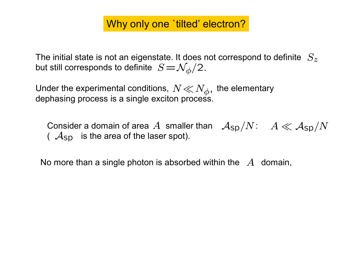## Why only one 'tilted' electron?

The initial state is not an eigenstate. It does not correspond to definite  $\ S_z$ but still corresponds to definite  $|S\!=\!\mathcal{N}_\phi/2.$ 

Under the experimental conditions,  $N \ll N_{\phi}$ , the elementary dependence process is a single excitent process. dephasing process is a single exciton process.

Consider a domain of area  $A$  smaller than  $\text{ }\mathcal{A}_{\textsf{sp}}/N\text{: \ }A\ll \mathcal{A}_{\textsf{sp}}/N$  (  $\mathcal{A}_{\textsf{sp}}$  is the area of the laser spot).  $(A_{\text{SD}})$  is the area of the laser spot).

No more than a single photon is absorbed within the  $A$  domain,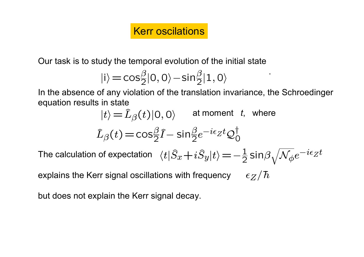## Kerr oscilations

Our task is to study the temporal evolution of the initial state

$$
|i\rangle\!=\!cos\!\tfrac{\beta}{2}|0,0\rangle\!-\!sin\!\tfrac{\beta}{2}|1,0\rangle
$$

In the absence of any violation of the translation invariance, the Schroedinger equation results in state

.

$$
|t\rangle = \hat{L}_{\beta}(t)|0,0\rangle \quad \text{ at moment } t, \text{ where}
$$

$$
\hat{L}_{\beta}(t) = \cos_{2}^{\beta}\hat{I} - \sin_{2}^{\beta}e^{-i\epsilon_{Z}t}\mathcal{Q}_{0}^{\dagger}
$$
  
The calculation of expectation  $\langle t|\hat{S}_{x} + i\hat{S}_{y}|t\rangle = -\frac{1}{2}\sin_{\beta}\sqrt{N_{\phi}}e^{-i\epsilon_{Z}t}$ 

explains the Kerr signal oscillations with frequency  $\epsilon_Z/\hbar$ 

but does not explain the Kerr signal decay.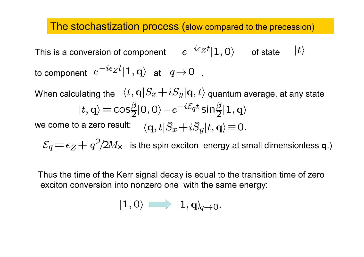#### The stochastization process (slow compared to the precession)

This is a conversion of component  $\quad e^{-i\epsilon}Z^t |1,0\rangle \qquad$  of state  $\quad |t\rangle$ to component  $\; e^{-i\epsilon}Z^t |1,{\bf q}\rangle \;$  at  $\; q\!\rightarrow\! 0\;$  .

When calculating the  $\;\langle t,{\bf q}|S_x\!+\!iS_y|{\bf q},t\rangle$  quantum average, at any state  $|t, q\rangle = cos\frac{\beta}{2}|0, 0\rangle - e^{-i\mathcal{E}_{q}t}sin\frac{\beta}{2}|1, q\rangle$ 

we come to a zero result:  $\quad \langle \mathbf{q},t|\widehat{S}_x\!+\!i\widehat{S}_y|t,\mathbf{q}\rangle\!\equiv\!0$  .

is the spin exciton energy at small dimensionless **q**.)  $\mathcal{E}_q = \epsilon_Z + q^2/2M_\times$ 

Thus the time of the Kerr signal decay is equal to the transition time of zero exciton conversion into nonzero one with the same energy:

$$
|1,0\rangle \implies |1,{\bf q}\rangle_{\!\!\!q\rightarrow 0}.
$$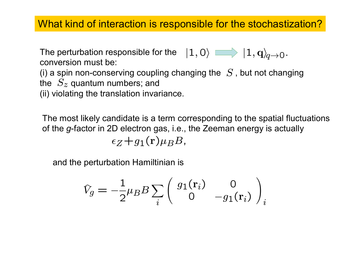### What kind of interaction is responsible for the stochastization?

The perturbation responsible for the  $|1,0\rangle$  and  $|1,{\bf q}\rangle_{\!\!\!q\rightarrow 0}.$ conversion must be:

(i) a spin non-conserving coupling changing the  $|S|$ , but not changing the  $\ S_z$  quantum numbers; and

(ii) violating the translation invariance.

The most likely candidate is a term corresponding to the spatial fluctuations of the *g*-factor in 2D electron gas, i.e., the Zeeman energy is actually  $\epsilon_Z+q_1(\mathbf{r})\mu_B B$ ,

and the perturbation Hamiltinian is

$$
\hat{V}_g = -\frac{1}{2}\mu_B B \sum_i \begin{pmatrix} g_1(\mathbf{r}_i) & 0 \\ 0 & -g_1(\mathbf{r}_i) \end{pmatrix}_i
$$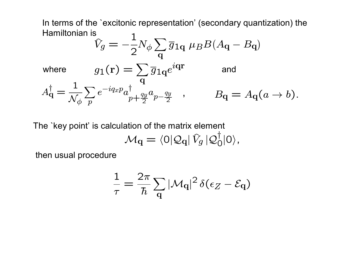In terms of the `excitonic representation' (secondary quantization) the Hamiltonian is

$$
\hat{V}_g = -\frac{1}{2} N_\phi \sum_{\mathbf{q}} \overline{g}_{1\mathbf{q}} \ \mu_B B (A_{\mathbf{q}} - B_{\mathbf{q}})
$$

where 
$$
g_1(\mathbf{r}) = \sum_{\mathbf{q}} \overline{g}_{1\mathbf{q}} e^{i\mathbf{q}\mathbf{r}}
$$
 and  
\n
$$
A_{\mathbf{q}}^{\dagger} = \frac{1}{\mathcal{N}_{\phi}} \sum_{p} e^{-iq_x p} a_{p+\frac{qy}{2}}^{\dagger} a_{p-\frac{qy}{2}} , \qquad B_{\mathbf{q}} = A_{\mathbf{q}}(a \to b).
$$

The `key point' is calculation of the matrix element

$$
\mathcal{M}_{\mathbf{q}} = \langle 0 | \mathcal{Q}_{\mathbf{q}} | \hat{V}_g | \mathcal{Q}_0^{\dagger} | 0 \rangle,
$$

then usual procedure

$$
\frac{1}{\tau} = \frac{2\pi}{\hbar} \sum_{\mathbf{q}} |\mathcal{M}_{\mathbf{q}}|^2 \, \delta(\epsilon_Z - \mathcal{E}_{\mathbf{q}})
$$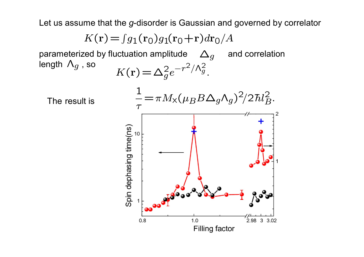Let us assume that the *g*-disorder is Gaussian and governed by correlator

 $K(r) = \int g_1(r_0)g_1(r_0+r)dr_0/A$ 

parameterized by fluctuation amplitude  $\quad \Delta_g \quad$  and correlation length  $\Lambda_q$ , so  $\Lambda_g$  , so  $K(\mathbf{r}) = \Delta_g^2 e^{-r^2/\Lambda_g^2}$ .

The result is